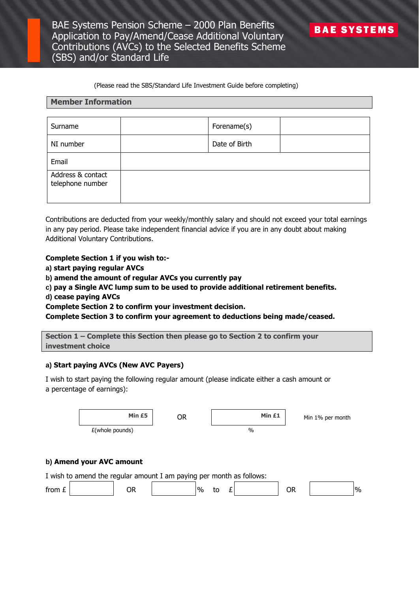#### (Please read the SBS/Standard Life Investment Guide before completing)

#### **Member Information**

| Surname                               | Forename(s)   |  |
|---------------------------------------|---------------|--|
| NI number                             | Date of Birth |  |
| Email                                 |               |  |
| Address & contact<br>telephone number |               |  |

Contributions are deducted from your weekly/monthly salary and should not exceed your total earnings in any pay period. Please take independent financial advice if you are in any doubt about making Additional Voluntary Contributions.

**Complete Section 1 if you wish to:-**

**a) start paying regular AVCs**

**b) amend the amount of regular AVCs you currently pay**

**c) pay a Single AVC lump sum to be used to provide additional retirement benefits. d) cease paying AVCs**

**Complete Section 2 to confirm your investment decision.**

**Complete Section 3 to confirm your agreement to deductions being made/ceased.**

**Section 1 – Complete this Section then please go to Section 2 to confirm your investment choice**

## **a) Start paying AVCs (New AVC Payers)**

I wish to start paying the following regular amount (please indicate either a cash amount or a percentage of earnings):

|          | Min £5                                                               | <b>OR</b> | Min £1        | Min 1% per month           |
|----------|----------------------------------------------------------------------|-----------|---------------|----------------------------|
|          | $E($ whole pounds)                                                   |           | $\frac{0}{0}$ |                            |
|          |                                                                      |           |               |                            |
|          | b) Amend your AVC amount                                             |           |               |                            |
|          | I wish to amend the regular amount I am paying per month as follows: |           |               |                            |
| from $E$ | <b>OR</b>                                                            | $\%$      | £<br>to       | $\frac{9}{6}$<br><b>OR</b> |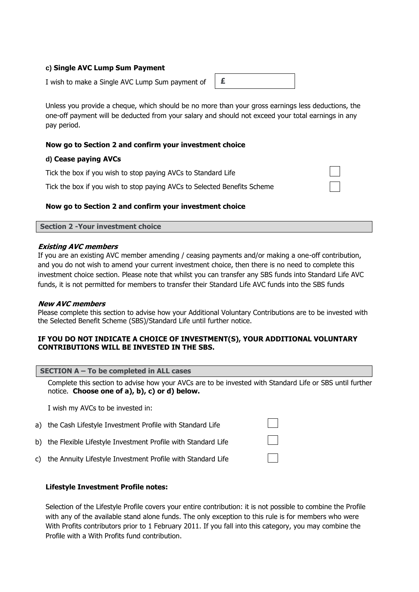## **c) Single AVC Lump Sum Payment**

I wish to make a Single AVC Lump Sum payment of

Unless you provide a cheque, which should be no more than your gross earnings less deductions, the one-off payment will be deducted from your salary and should not exceed your total earnings in any pay period.

## **Now go to Section 2 and confirm your investment choice**

## **d) Cease paying AVCs**

Tick the box if you wish to stop paying AVCs to Standard Life

Tick the box if you wish to stop paying AVCs to Selected Benefits Scheme

# **Now go to Section 2 and confirm your investment choice**

**Section 2 -Your investment choice**

## **Existing AVC members**

If you are an existing AVC member amending / ceasing payments and/or making a one-off contribution, and you do not wish to amend your current investment choice, then there is no need to complete this investment choice section. Please note that whilst you can transfer any SBS funds into Standard Life AVC funds, it is not permitted for members to transfer their Standard Life AVC funds into the SBS funds

## **New AVC members**

Please complete this section to advise how your Additional Voluntary Contributions are to be invested with the Selected Benefit Scheme (SBS)/Standard Life until further notice.

## **IF YOU DO NOT INDICATE A CHOICE OF INVESTMENT(S), YOUR ADDITIONAL VOLUNTARY CONTRIBUTIONS WILL BE INVESTED IN THE SBS.**

|  |  |  | SECTION A – To be completed in ALL cases |  |
|--|--|--|------------------------------------------|--|
|--|--|--|------------------------------------------|--|

Complete this section to advise how your AVCs are to be invested with Standard Life or SBS until further notice. **Choose one of a), b), c) or d) below.**

I wish my AVCs to be invested in:

| a) the Cash Lifestyle Investment Profile with Standard Life     |              |
|-----------------------------------------------------------------|--------------|
| b) the Flexible Lifestyle Investment Profile with Standard Life | $\mathbf{L}$ |
| c) the Annuity Lifestyle Investment Profile with Standard Life  |              |

## **Lifestyle Investment Profile notes:**

Selection of the Lifestyle Profile covers your entire contribution: it is not possible to combine the Profile with any of the available stand alone funds. The only exception to this rule is for members who were With Profits contributors prior to 1 February 2011. If you fall into this category, you may combine the Profile with a With Profits fund contribution.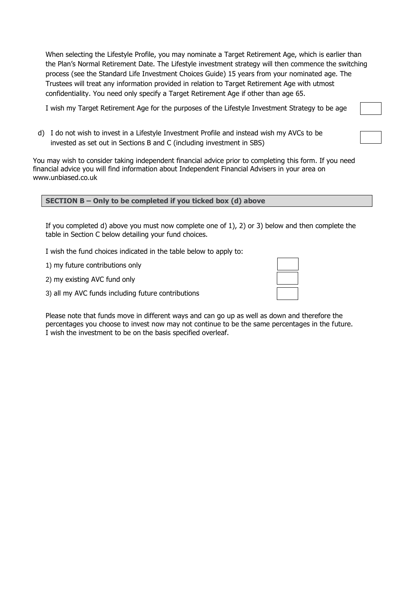When selecting the Lifestyle Profile, you may nominate a Target Retirement Age, which is earlier than the Plan's Normal Retirement Date. The Lifestyle investment strategy will then commence the switching process (see the Standard Life Investment Choices Guide) 15 years from your nominated age. The Trustees will treat any information provided in relation to Target Retirement Age with utmost confidentiality. You need only specify a Target Retirement Age if other than age 65.

I wish my Target Retirement Age for the purposes of the Lifestyle Investment Strategy to be age

d) I do not wish to invest in a Lifestyle Investment Profile and instead wish my AVCs to be invested as set out in Sections B and C (including investment in SBS)

You may wish to consider taking independent financial advice prior to completing this form. If you need financial advice you will find information about Independent Financial Advisers in your area on [www.unbiased.co.uk](http://www.unbiased.co.uk/)

|  |  | SECTION $B$ – Only to be completed if you ticked box (d) above |  |
|--|--|----------------------------------------------------------------|--|
|--|--|----------------------------------------------------------------|--|

If you completed d) above you must now complete one of 1), 2) or 3) below and then complete the table in Section C below detailing your fund choices.

I wish the fund choices indicated in the table below to apply to:

1) my future contributions only

2) my existing AVC fund only

3) all my AVC funds including future contributions

Please note that funds move in different ways and can go up as well as down and therefore the percentages you choose to invest now may not continue to be the same percentages in the future. I wish the investment to be on the basis specified overleaf.